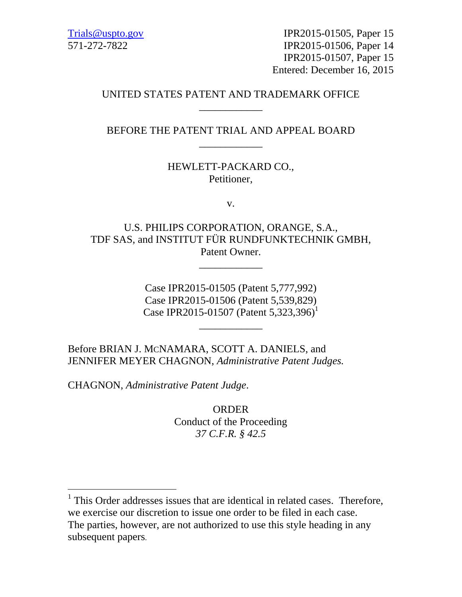Trials@uspto.gov 571-272-7822

IPR2015-01505, Paper 15 IPR2015-01506, Paper 14 IPR2015-01507, Paper 15 Entered: December 16, 2015

## UNITED STATES PATENT AND TRADEMARK OFFICE \_\_\_\_\_\_\_\_\_\_\_\_

## BEFORE THE PATENT TRIAL AND APPEAL BOARD \_\_\_\_\_\_\_\_\_\_\_\_

## HEWLETT-PACKARD CO., Petitioner,

v.

U.S. PHILIPS CORPORATION, ORANGE, S.A., TDF SAS, and INSTITUT FÜR RUNDFUNKTECHNIK GMBH, Patent Owner.

\_\_\_\_\_\_\_\_\_\_\_\_

Case IPR2015-01505 (Patent 5,777,992) Case IPR2015-01506 (Patent 5,539,829) Case IPR2015-01507 (Patent 5,323,396)<sup>1</sup>

\_\_\_\_\_\_\_\_\_\_\_\_

Before BRIAN J. MCNAMARA, SCOTT A. DANIELS, and JENNIFER MEYER CHAGNON, *Administrative Patent Judges.*

CHAGNON, *Administrative Patent Judge*.

-

ORDER Conduct of the Proceeding *37 C.F.R. § 42.5* 

<sup>&</sup>lt;sup>1</sup> This Order addresses issues that are identical in related cases. Therefore, we exercise our discretion to issue one order to be filed in each case. The parties, however, are not authorized to use this style heading in any subsequent papers.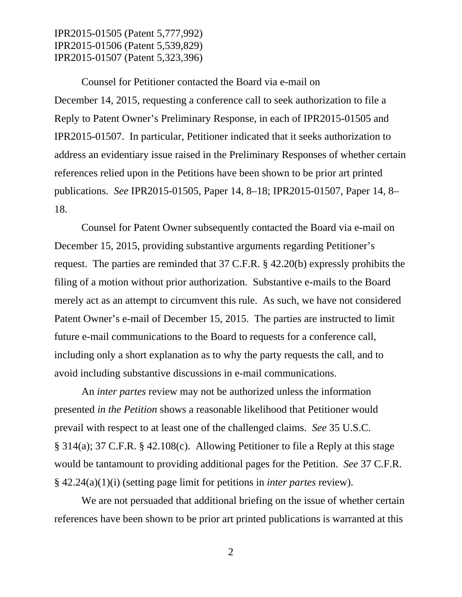IPR2015-01505 (Patent 5,777,992) IPR2015-01506 (Patent 5,539,829) IPR2015-01507 (Patent 5,323,396)

Counsel for Petitioner contacted the Board via e-mail on December 14, 2015, requesting a conference call to seek authorization to file a Reply to Patent Owner's Preliminary Response, in each of IPR2015-01505 and IPR2015-01507. In particular, Petitioner indicated that it seeks authorization to address an evidentiary issue raised in the Preliminary Responses of whether certain references relied upon in the Petitions have been shown to be prior art printed publications. *See* IPR2015-01505, Paper 14, 8–18; IPR2015-01507, Paper 14, 8– 18.

Counsel for Patent Owner subsequently contacted the Board via e-mail on December 15, 2015, providing substantive arguments regarding Petitioner's request. The parties are reminded that 37 C.F.R. § 42.20(b) expressly prohibits the filing of a motion without prior authorization. Substantive e-mails to the Board merely act as an attempt to circumvent this rule. As such, we have not considered Patent Owner's e-mail of December 15, 2015. The parties are instructed to limit future e-mail communications to the Board to requests for a conference call, including only a short explanation as to why the party requests the call, and to avoid including substantive discussions in e-mail communications.

An *inter partes* review may not be authorized unless the information presented *in the Petition* shows a reasonable likelihood that Petitioner would prevail with respect to at least one of the challenged claims. *See* 35 U.S.C. § 314(a); 37 C.F.R. § 42.108(c). Allowing Petitioner to file a Reply at this stage would be tantamount to providing additional pages for the Petition. *See* 37 C.F.R. § 42.24(a)(1)(i) (setting page limit for petitions in *inter partes* review).

We are not persuaded that additional briefing on the issue of whether certain references have been shown to be prior art printed publications is warranted at this

2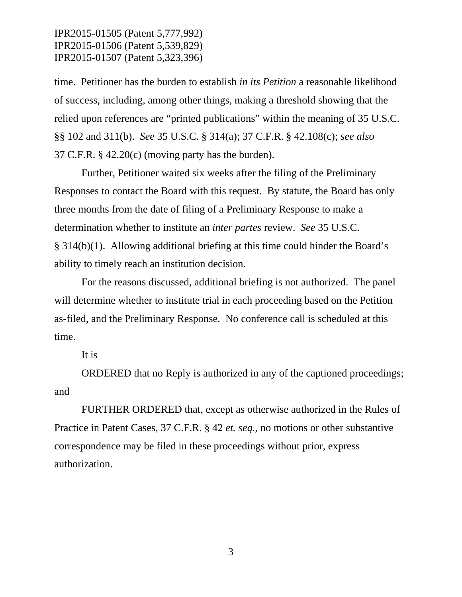IPR2015-01505 (Patent 5,777,992) IPR2015-01506 (Patent 5,539,829) IPR2015-01507 (Patent 5,323,396)

time. Petitioner has the burden to establish *in its Petition* a reasonable likelihood of success, including, among other things, making a threshold showing that the relied upon references are "printed publications" within the meaning of 35 U.S.C. §§ 102 and 311(b). *See* 35 U.S.C. § 314(a); 37 C.F.R. § 42.108(c); *see also*  37 C.F.R. § 42.20(c) (moving party has the burden).

Further, Petitioner waited six weeks after the filing of the Preliminary Responses to contact the Board with this request. By statute, the Board has only three months from the date of filing of a Preliminary Response to make a determination whether to institute an *inter partes* review. *See* 35 U.S.C. § 314(b)(1). Allowing additional briefing at this time could hinder the Board's ability to timely reach an institution decision.

For the reasons discussed, additional briefing is not authorized. The panel will determine whether to institute trial in each proceeding based on the Petition as-filed, and the Preliminary Response. No conference call is scheduled at this time.

It is

ORDERED that no Reply is authorized in any of the captioned proceedings; and

FURTHER ORDERED that, except as otherwise authorized in the Rules of Practice in Patent Cases, 37 C.F.R. § 42 *et. seq.*, no motions or other substantive correspondence may be filed in these proceedings without prior, express authorization.

3